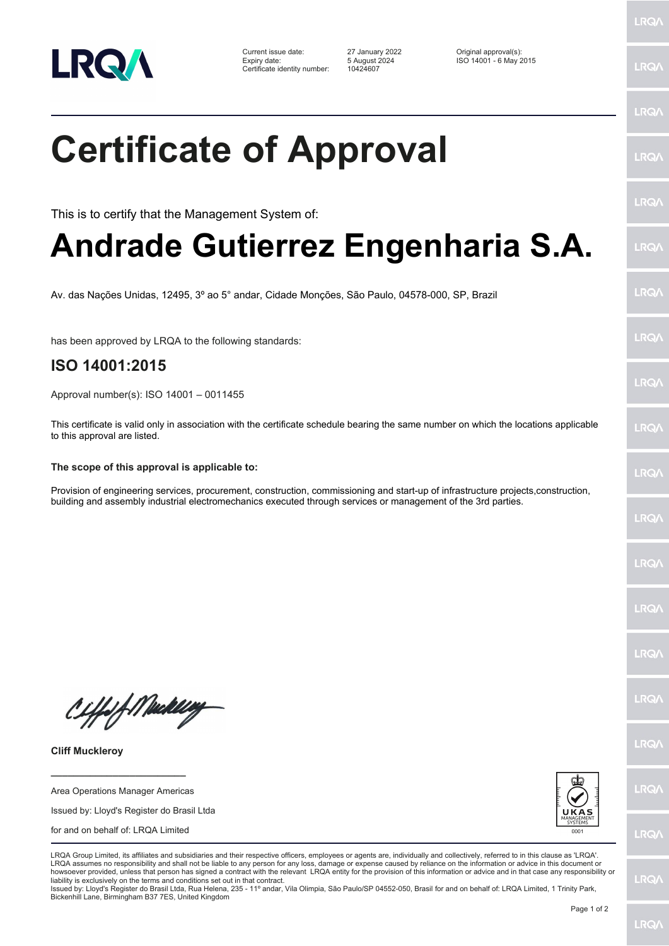

Current issue date: 27 January 2022 Original approval(s): Expiry date: 5 August 2024 ISO 14001 - 6 May 2015 Certificate identity number: 10424607

LRQ/

LRQ/

## LRQ/ **Certificate of Approval** LRQ/ LRQ/ This is to certify that the Management System of: **Andrade Gutierrez Engenharia S.A.** LRQ/ LRQ/ Av. das Nações Unidas, 12495, 3º ao 5° andar, Cidade Monções, São Paulo, 04578-000, SP, Brazil LRQ/ has been approved by LRQA to the following standards: **ISO 14001:2015 LRQA** Approval number(s): ISO 14001 – 0011455 This certificate is valid only in association with the certificate schedule bearing the same number on which the locations applicable **LRO** to this approval are listed. **The scope of this approval is applicable to:** LRQ/ Provision of engineering services, procurement, construction, commissioning and start-up of infrastructure projects,construction, building and assembly industrial electromechanics executed through services or management of the 3rd parties.LRQ/ LRQ/ LRQ/ **IRQ/** Ciffeft Medal **IRQA** LRQ/ **Cliff Muckleroy \_\_\_\_\_\_\_\_\_\_\_\_\_\_\_\_\_\_\_\_\_\_\_\_** LRQ/ Area Operations Manager Americas Issued by: Lloyd's Register do Brasil Ltda for and on behalf of: LRQA Limited **LRQ/** LRQA Group Limited, its affiliates and subsidiaries and their respective officers, employees or agents are, individually and collectively, referred to in this clause as 'LRQA' LRQA assumes no responsibility and shall not be liable to any person for any loss, damage or expense caused by reliance on the information or advice in this document or howsoever provided, unless that person has signed a contract with the relevant LRQA entity for the provision of this information or advice and in that case any responsibility or LRQ/ liability is exclusively on the terms and conditions set out in that contract.

Issued by: Lloyd's Register do Brasil Ltda, Rua Helena, 235 - 11º andar, Vila Olimpia, São Paulo/SP 04552-050, Brasil for and on behalf of: LRQA Limited, 1 Trinity Park, Bickenhill Lane, Birmingham B37 7ES, United Kingdom